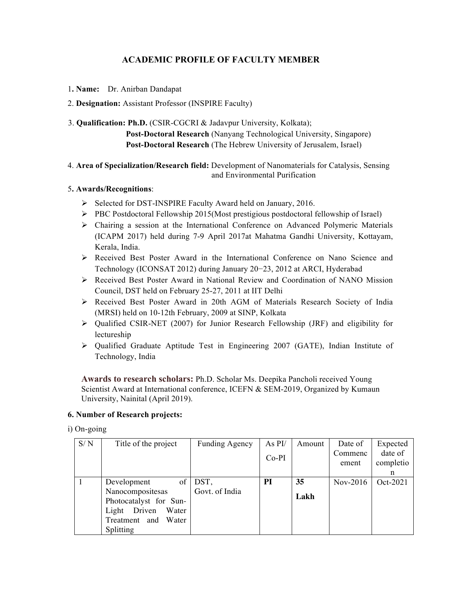# **ACADEMIC PROFILE OF FACULTY MEMBER**

1**. Name:** Dr. Anirban Dandapat

# 2. **Designation:** Assistant Professor (INSPIRE Faculty)

3. **Qualification: Ph.D.** (CSIR-CGCRI & Jadavpur University, Kolkata); **Post-Doctoral Research** (Nanyang Technological University, Singapore) **Post-Doctoral Research** (The Hebrew University of Jerusalem, Israel)

### 4. **Area of Specialization/Research field:** Development of Nanomaterials for Catalysis, Sensing and Environmental Purification

# 5**. Awards/Recognitions**:

- Ø Selected for DST-INSPIRE Faculty Award held on January, 2016.
- Ø PBC Postdoctoral Fellowship 2015(Most prestigious postdoctoral fellowship of Israel)
- $\triangleright$  Chairing a session at the International Conference on Advanced Polymeric Materials (ICAPM 2017) held during 7-9 April 2017at Mahatma Gandhi University, Kottayam, Kerala, India.
- Ø Received Best Poster Award in the International Conference on Nano Science and Technology (ICONSAT 2012) during January 20−23, 2012 at ARCI, Hyderabad
- Ø Received Best Poster Award in National Review and Coordination of NANO Mission Council, DST held on February 25-27, 2011 at IIT Delhi
- Ø Received Best Poster Award in 20th AGM of Materials Research Society of India (MRSI) held on 10-12th February, 2009 at SINP, Kolkata
- $\triangleright$  Qualified CSIR-NET (2007) for Junior Research Fellowship (JRF) and eligibility for lectureship
- $\triangleright$  Oualified Graduate Aptitude Test in Engineering 2007 (GATE), Indian Institute of Technology, India

**Awards to research scholars:** Ph.D. Scholar Ms. Deepika Pancholi received Young Scientist Award at International conference, ICEFN & SEM-2019, Organized by Kumaun University, Nainital (April 2019).

### **6. Number of Research projects:**

i) On-going

| S/N | Title of the project     | <b>Funding Agency</b> | As PI/  | Amount | Date of  | Expected  |
|-----|--------------------------|-----------------------|---------|--------|----------|-----------|
|     |                          |                       | $Co-PI$ |        | Commenc  | date of   |
|     |                          |                       |         |        | ement    | completio |
|     |                          |                       |         |        |          | n         |
|     | Development<br>of        | DST,                  | PI      | 35     | Nov-2016 | Oct-2021  |
|     | Nanocompositesas         | Govt. of India        |         | Lakh   |          |           |
|     | Photocatalyst for Sun-   |                       |         |        |          |           |
|     | Driven<br>Water<br>Light |                       |         |        |          |           |
|     | Treatment and<br>Water   |                       |         |        |          |           |
|     | Splitting                |                       |         |        |          |           |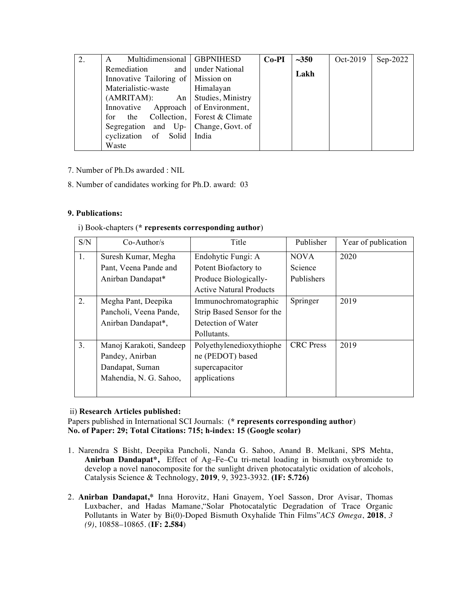| 2. | Multidimensional   GBPNIHESD<br>A      |                                | $Co-PI$ | ~1.350 | Oct-2019 | $Sep-2022$ |
|----|----------------------------------------|--------------------------------|---------|--------|----------|------------|
|    | Remediation                            | and under National             |         | Lakh   |          |            |
|    | Innovative Tailoring of   Mission on   |                                |         |        |          |            |
|    | Materialistic-waste                    | Himalayan                      |         |        |          |            |
|    | $(AMRITAM):$ An Studies, Ministry      |                                |         |        |          |            |
|    | Innovative Approach of Environment,    |                                |         |        |          |            |
|    | the<br>for                             | Collection,   Forest & Climate |         |        |          |            |
|    | Segregation and $Up-$ Change, Govt. of |                                |         |        |          |            |
|    | cyclization of Solid India             |                                |         |        |          |            |
|    | Waste                                  |                                |         |        |          |            |

- 7. Number of Ph.Ds awarded : NIL
- 8. Number of candidates working for Ph.D. award: 03

# **9. Publications:**

i) Book-chapters (**\* represents corresponding author**)

| S/N            | $Co-Author/s$           | Title                          | Publisher        | Year of publication |
|----------------|-------------------------|--------------------------------|------------------|---------------------|
| 1.             | Suresh Kumar, Megha     | Endohytic Fungi: A             | <b>NOVA</b>      | 2020                |
|                | Pant, Veena Pande and   | Potent Biofactory to           | Science          |                     |
|                | Anirban Dandapat*       | Produce Biologically-          | Publishers       |                     |
|                |                         | <b>Active Natural Products</b> |                  |                     |
| 2.             | Megha Pant, Deepika     | Immunochromatographic          | Springer         | 2019                |
|                | Pancholi, Veena Pande,  | Strip Based Sensor for the     |                  |                     |
|                | Anirban Dandapat*,      | Detection of Water             |                  |                     |
|                |                         | Pollutants.                    |                  |                     |
| 3 <sub>1</sub> | Manoj Karakoti, Sandeep | Polyethylenedioxythiophe       | <b>CRC</b> Press | 2019                |
|                | Pandey, Anirban         | ne (PEDOT) based               |                  |                     |
|                | Dandapat, Suman         | supercapacitor                 |                  |                     |
|                | Mahendia, N. G. Sahoo,  | applications                   |                  |                     |
|                |                         |                                |                  |                     |

### ii) **Research Articles published:**

Papers published in International SCI Journals: (**\* represents corresponding author**) **No. of Paper: 29; Total Citations: 715; h-index: 15 (Google scolar)**

- 1. Narendra S Bisht, Deepika Pancholi, Nanda G. Sahoo, Anand B. Melkani, SPS Mehta, **Anirban Dandapat\*,** Effect of Ag–Fe–Cu tri-metal loading in bismuth oxybromide to develop a novel nanocomposite for the sunlight driven photocatalytic oxidation of alcohols, Catalysis Science & Technology, **2019**, 9, 3923-3932. **(IF: 5.726)**
- 2. **Anirban Dandapat,\*** Inna Horovitz, Hani Gnayem, Yoel Sasson, Dror Avisar, Thomas Luxbacher, and Hadas Mamane,"Solar Photocatalytic Degradation of Trace Organic Pollutants in Water by Bi(0)-Doped Bismuth Oxyhalide Thin Films"*ACS Omega*, **2018**, *3 (9)*, 10858–10865. (**IF: 2.584**)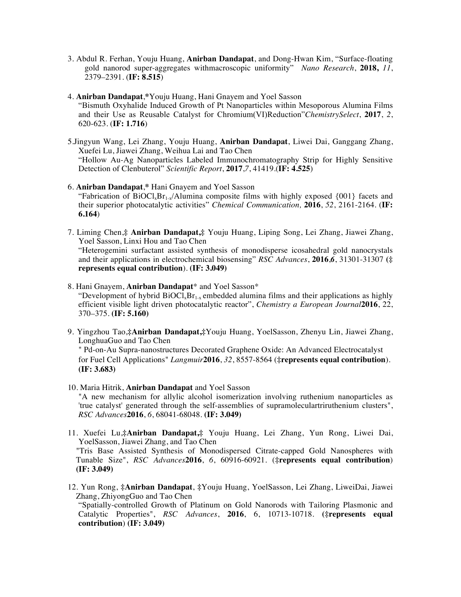- 3. Abdul R. Ferhan, Youju Huang, **Anirban Dandapat**, and Dong-Hwan Kim, "Surface-floating gold nanorod super-aggregates withmacroscopic uniformity" *Nano Research*, **2018,** *11*, 2379–2391. (**IF: 8.515**)
- 4. **Anirban Dandapat**,**\***Youju Huang, Hani Gnayem and Yoel Sasson "Bismuth Oxyhalide Induced Growth of Pt Nanoparticles within Mesoporous Alumina Films and their Use as Reusable Catalyst for Chromium(VI)Reduction"*ChemistrySelect*, **2017**, *2*, 620-623. (**IF: 1.716**)
- 5.Jingyun Wang, Lei Zhang, Youju Huang, **Anirban Dandapat**, Liwei Dai, Ganggang Zhang, Xuefei Lu, Jiawei Zhang, Weihua Lai and Tao Chen "Hollow Au-Ag Nanoparticles Labeled Immunochromatography Strip for Highly Sensitive Detection of Clenbuterol" *Scientific Report*, **2017**,*7*, 41419.(**IF: 4.525**)
- 6. **Anirban Dandapat**,**\*** Hani Gnayem and Yoel Sasson "Fabrication of  $\text{BiOCl}_x\text{Br}_{1-x}/\text{Alumina}$  composite films with highly exposed {001} facets and their superior photocatalytic activities" *Chemical Communication,* **2016**, *52*, 2161-2164. (**IF: 6.164**)
- 7. Liming Chen,**‡ Anirban Dandapat,‡** Youju Huang, Liping Song, Lei Zhang, Jiawei Zhang, Yoel Sasson, Linxi Hou and Tao Chen "Heterogemini surfactant assisted synthesis of monodisperse icosahedral gold nanocrystals and their applications in electrochemical biosensing" *RSC Advances*, **2016**,*6*, 31301-31307 **(‡ represents equal contribution**). **(IF: 3.049)**
- 8. Hani Gnayem, **Anirban Dandapat**\* and Yoel Sasson\* "Development of hybrid  $BiOCI<sub>x</sub>Br<sub>1-x</sub> embedded alumina films and their applications as highly$ efficient visible light driven photocatalytic reactor", *Chemistry a European Journal***2016**, 22, 370–375. **(IF: 5.160)**
- 9. Yingzhou Tao,**‡Anirban Dandapat,‡**Youju Huang, YoelSasson, Zhenyu Lin, Jiawei Zhang, LonghuaGuo and Tao Chen

" Pd-on-Au Supra-nanostructures Decorated Graphene Oxide: An Advanced Electrocatalyst for Fuel Cell Applications" *Langmuir***2016**, *32*, 8557-8564 (**‡represents equal contribution**). **(IF: 3.683)**

- 10. Maria Hitrik, **Anirban Dandapat** and Yoel Sasson "A new mechanism for allylic alcohol isomerization involving ruthenium nanoparticles as 'true catalyst' generated through the self-assemblies of supramoleculartriruthenium clusters", *RSC Advances***2016**, *6*, 68041-68048. **(IF: 3.049)**
- 11. Xuefei Lu,**‡Anirban Dandapat,‡** Youju Huang, Lei Zhang, Yun Rong, Liwei Dai, YoelSasson, Jiawei Zhang, and Tao Chen "Tris Base Assisted Synthesis of Monodispersed Citrate-capped Gold Nanospheres with Tunable Size", *RSC Advances***2016**, *6*, 60916-60921. (**‡represents equal contribution**) **(IF: 3.049)**
- 12. Yun Rong, **‡Anirban Dandapat**, **‡**Youju Huang, YoelSasson, Lei Zhang, LiweiDai, Jiawei Zhang, ZhiyongGuo and Tao Chen

"Spatially-controlled Growth of Platinum on Gold Nanorods with Tailoring Plasmonic and Catalytic Properties", *RSC Advances*, **2016**, 6, 10713-10718. **(‡represents equal contribution**) **(IF: 3.049)**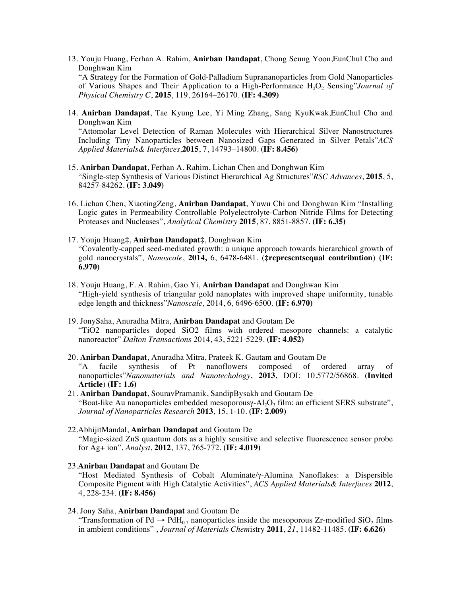13. Youju Huang, Ferhan A. Rahim, **Anirban Dandapat**, Chong Seung Yoon,EunChul Cho and Donghwan Kim

"A Strategy for the Formation of Gold-Palladium Suprananoparticles from Gold Nanoparticles of Various Shapes and Their Application to a High-Performance H<sub>2</sub>O<sub>2</sub> Sensing"*Journal of Physical Chemistry C*, **2015**, 119, 26164–26170. **(IF: 4.309)**

14. **Anirban Dandapat**, Tae Kyung Lee, Yi Ming Zhang, Sang KyuKwak,EunChul Cho and Donghwan Kim

"Attomolar Level Detection of Raman Molecules with Hierarchical Silver Nanostructures Including Tiny Nanoparticles between Nanosized Gaps Generated in Silver Petals"*ACS Applied Materials& Interfaces,***2015**, 7, 14793–14800. **(IF: 8.456)**

- 15. **Anirban Dandapat**, Ferhan A. Rahim, Lichan Chen and Donghwan Kim "Single-step Synthesis of Various Distinct Hierarchical Ag Structures"*RSC Advances*, **2015**, 5, 84257-84262. **(IF: 3.049)**
- 16. Lichan Chen, XiaotingZeng, **Anirban Dandapat**, Yuwu Chi and Donghwan Kim "Installing Logic gates in Permeability Controllable Polyelectrolyte-Carbon Nitride Films for Detecting Proteases and Nucleases", *Analytical Chemistry* **2015**, 87, 8851-8857. **(IF: 6.35)**
- 17. Youju Huang**‡**, **Anirban Dandapat‡**, Donghwan Kim "Covalently-capped seed-mediated growth: a unique approach towards hierarchical growth of gold nanocrystals", *Nanoscale*, **2014,** 6, 6478-6481. (**‡representsequal contribution**) **(IF: 6.970)**
- 18. Youju Huang, F. A. Rahim, Gao Yi, **Anirban Dandapat** and Donghwan Kim "High-yield synthesis of triangular gold nanoplates with improved shape uniformity, tunable edge length and thickness"*Nanoscale*, 2014, 6, 6496-6500. **(IF: 6.970)**
- 19. JonySaha, Anuradha Mitra, **Anirban Dandapat** and Goutam De "TiO2 nanoparticles doped SiO2 films with ordered mesopore channels: a catalytic nanoreactor" *Dalton Transactions* 2014, 43, 5221-5229. **(IF: 4.052)**
- 20. **Anirban Dandapat**, Anuradha Mitra, Prateek K. Gautam and Goutam De "A facile synthesis of Pt nanoflowers composed of ordered array of nanoparticles"*Nanomaterials and Nanotechology*, **2013**, DOI: 10.5772/56868. (**Invited Article**) **(IF: 1.6)**
- 21. **Anirban Dandapat**, SouravPramanik, SandipBysakh and Goutam De "Boat-like Au nanoparticles embedded mesoporousy- $A_1O_3$  film: an efficient SERS substrate", *Journal of Nanoparticles Research* **2013**, 15, 1-10. **(IF: 2.009)**
- 22.AbhijitMandal, **Anirban Dandapat** and Goutam De "Magic-sized ZnS quantum dots as a highly sensitive and selective fluorescence sensor probe for Ag+ ion", *Analyst*, **2012**, 137, 765-772. **(IF: 4.019)**
- 23.**Anirban Dandapat** and Goutam De "Host Mediated Synthesis of Cobalt Aluminate/γ-Alumina Nanoflakes: a Dispersible Composite Pigment with High Catalytic Activities", *ACS Applied Materials& Interfaces* **2012**, 4, 228-234. **(IF: 8.456)**
- 24. Jony Saha, **Anirban Dandapat** and Goutam De "Transformation of Pd  $\rightarrow$  PdH<sub>0.7</sub> nanoparticles inside the mesoporous Zr-modified SiO<sub>2</sub> films in ambient conditions" , *Journal of Materials Chem*istry **2011**, *21*, 11482-11485. **(IF: 6.626)**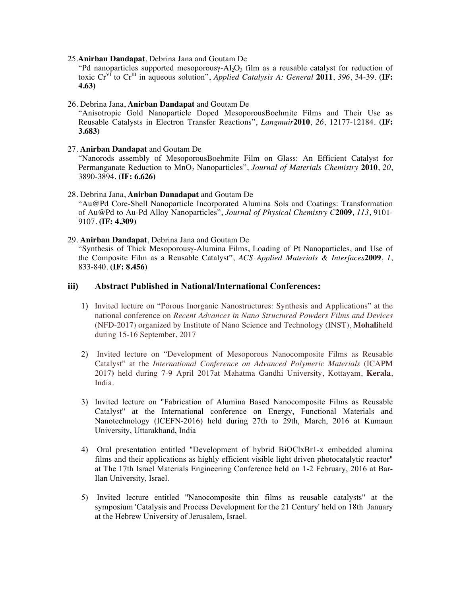#### 25.**Anirban Dandapat**, Debrina Jana and Goutam De

"Pd nanoparticles supported mesoporousy-Al<sub>2</sub>O<sub>3</sub> film as a reusable catalyst for reduction of toxic  $Cr^{Vf}$  to  $Cr^{III}$  in aqueous solution", *Applied Catalysis A: General* 2011, 396, 34-39. **(IF: 4.63)**

#### 26. Debrina Jana, **Anirban Dandapat** and Goutam De

"Anisotropic Gold Nanoparticle Doped MesoporousBoehmite Films and Their Use as Reusable Catalysts in Electron Transfer Reactions", *Langmuir***2010**, *26*, 12177-12184. **(IF: 3.683)**

#### 27. **Anirban Dandapat** and Goutam De

"Nanorods assembly of MesoporousBoehmite Film on Glass: An Efficient Catalyst for Permanganate Reduction to MnO<sub>2</sub> Nanoparticles", *Journal of Materials Chemistry* 2010, 20, 3890-3894. **(IF: 6.626)**

#### 28. Debrina Jana, **Anirban Danadapat** and Goutam De

"Au@Pd Core-Shell Nanoparticle Incorporated Alumina Sols and Coatings: Transformation of Au@Pd to Au-Pd Alloy Nanoparticles", *Journal of Physical Chemistry C***2009**, *113*, 9101- 9107. **(IF: 4.309)**

#### 29. **Anirban Dandapat**, Debrina Jana and Goutam De

"Synthesis of Thick Mesoporousγ-Alumina Films, Loading of Pt Nanoparticles, and Use of the Composite Film as a Reusable Catalyst", *ACS Applied Materials & Interfaces***2009**, *1*, 833-840. **(IF: 8.456)** 

#### **iii) Abstract Published in National/International Conferences:**

- 1) Invited lecture on "Porous Inorganic Nanostructures: Synthesis and Applications" at the national conference on *Recent Advances in Nano Structured Powders Films and Devices* (NFD-2017) organized by Institute of Nano Science and Technology (INST), **Mohali**held during 15-16 September, 2017
- 2) Invited lecture on "Development of Mesoporous Nanocomposite Films as Reusable Catalyst" at the *International Conference on Advanced Polymeric Materials* (ICAPM 2017**)** held during 7-9 April 2017at Mahatma Gandhi University, Kottayam, **Kerala**, India.
- 3) Invited lecture on "Fabrication of Alumina Based Nanocomposite Films as Reusable Catalyst" at the International conference on Energy, Functional Materials and Nanotechnology (ICEFN-2016) held during 27th to 29th, March, 2016 at Kumaun University, Uttarakhand, India
- 4) Oral presentation entitled "Development of hybrid BiOClxBr1-x embedded alumina films and their applications as highly efficient visible light driven photocatalytic reactor" at The 17th Israel Materials Engineering Conference held on 1-2 February, 2016 at Bar-Ilan University, Israel.
- 5) Invited lecture entitled "Nanocomposite thin films as reusable catalysts" at the symposium 'Catalysis and Process Development for the 21 Century' held on 18th January at the Hebrew University of Jerusalem, Israel.